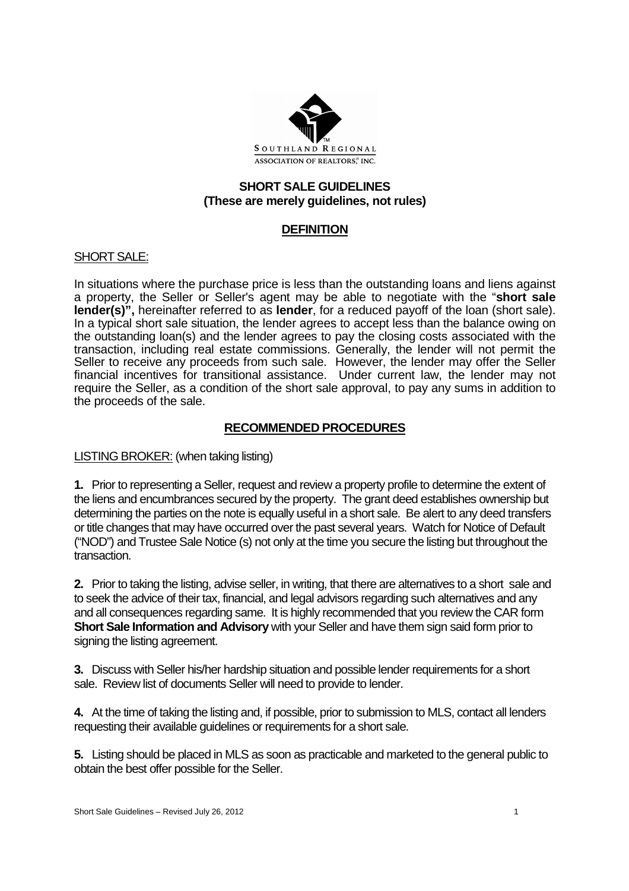

# **SHORT SALE GUIDELINES (These are merely guidelines, not rules)**

# **DEFINITION**

#### SHORT SALE:

In situations where the purchase price is less than the outstanding loans and liens against a property, the Seller or Seller's agent may be able to negotiate with the "**short sale lender(s)",** hereinafter referred to as **lender**, for a reduced payoff of the loan (short sale). In a typical short sale situation, the lender agrees to accept less than the balance owing on the outstanding loan(s) and the lender agrees to pay the closing costs associated with the transaction, including real estate commissions. Generally, the lender will not permit the Seller to receive any proceeds from such sale. However, the lender may offer the Seller financial incentives for transitional assistance. Under current law, the lender may not require the Seller, as a condition of the short sale approval, to pay any sums in addition to the proceeds of the sale.

# **RECOMMENDED PROCEDURES**

LISTING BROKER: (when taking listing)

**1.** Prior to representing a Seller, request and review a property profile to determine the extent of the liens and encumbrances secured by the property. The grant deed establishes ownership but determining the parties on the note is equally useful in a short sale. Be alert to any deed transfers or title changes that may have occurred over the past several years. Watch for Notice of Default ("NOD") and Trustee Sale Notice (s) not only at the time you secure the listing but throughout the transaction.

**2.** Prior to taking the listing, advise seller, in writing, that there are alternatives to a short sale and to seek the advice of their tax, financial, and legal advisors regarding such alternatives and any and all consequences regarding same. It is highly recommended that you review the CAR form **Short Sale Information and Advisory** with your Seller and have them sign said form prior to signing the listing agreement.

**3.** Discuss with Seller his/her hardship situation and possible lender requirements for a short sale. Review list of documents Seller will need to provide to lender.

**4.** At the time of taking the listing and, if possible, prior to submission to MLS, contact all lenders requesting their available guidelines or requirements for a short sale.

**5.** Listing should be placed in MLS as soon as practicable and marketed to the general public to obtain the best offer possible for the Seller.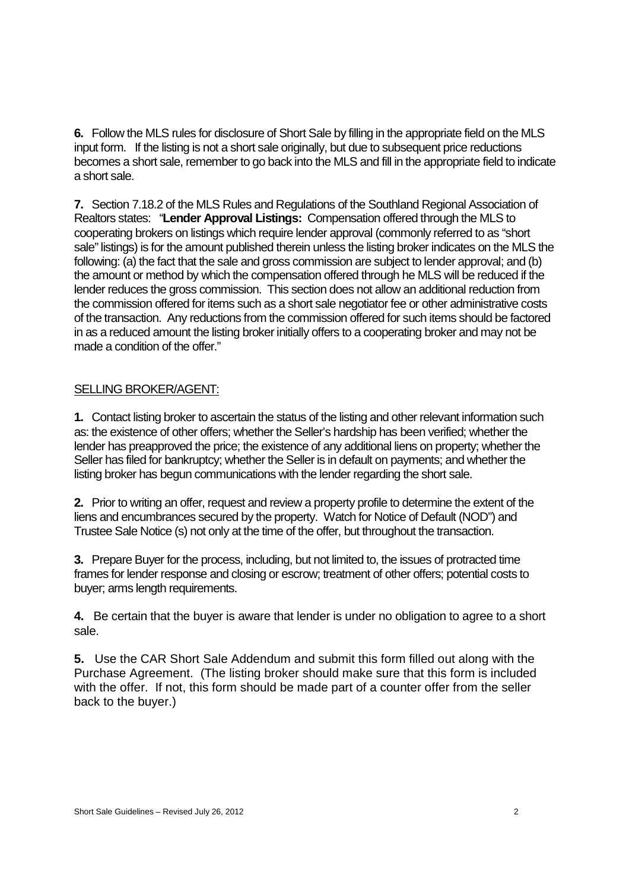**6.** Follow the MLS rules for disclosure of Short Sale by filling in the appropriate field on the MLS input form. If the listing is not a short sale originally, but due to subsequent price reductions becomes a short sale, remember to go back into the MLS and fill in the appropriate field to indicate a short sale.

**7.** Section 7.18.2 of the MLS Rules and Regulations of the Southland Regional Association of Realtors states: "**Lender Approval Listings:** Compensation offered through the MLS to cooperating brokers on listings which require lender approval (commonly referred to as "short sale" listings) is for the amount published therein unless the listing broker indicates on the MLS the following: (a) the fact that the sale and gross commission are subject to lender approval; and (b) the amount or method by which the compensation offered through he MLS will be reduced if the lender reduces the gross commission. This section does not allow an additional reduction from the commission offered for items such as a short sale negotiator fee or other administrative costs of the transaction. Any reductions from the commission offered for such items should be factored in as a reduced amount the listing broker initially offers to a cooperating broker and may not be made a condition of the offer."

# SELLING BROKER/AGENT:

**1.** Contact listing broker to ascertain the status of the listing and other relevant information such as: the existence of other offers; whether the Seller's hardship has been verified; whether the lender has preapproved the price; the existence of any additional liens on property; whether the Seller has filed for bankruptcy; whether the Seller is in default on payments; and whether the listing broker has begun communications with the lender regarding the short sale.

**2.** Prior to writing an offer, request and review a property profile to determine the extent of the liens and encumbrances secured by the property. Watch for Notice of Default (NOD") and Trustee Sale Notice (s) not only at the time of the offer, but throughout the transaction.

**3.** Prepare Buyer for the process, including, but not limited to, the issues of protracted time frames for lender response and closing or escrow; treatment of other offers; potential costs to buyer; arms length requirements.

**4.** Be certain that the buyer is aware that lender is under no obligation to agree to a short sale.

**5.** Use the CAR Short Sale Addendum and submit this form filled out along with the Purchase Agreement. (The listing broker should make sure that this form is included with the offer. If not, this form should be made part of a counter offer from the seller back to the buyer.)